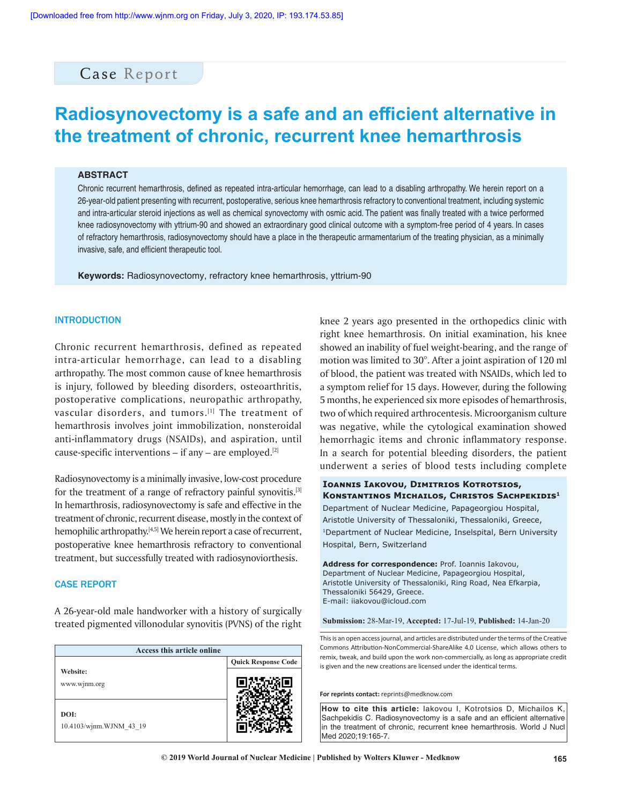# Case Report

# **Radiosynovectomy is a safe and an efficient alternative in the treatment of chronic, recurrent knee hemarthrosis**

#### **ABSTRACT**

Chronic recurrent hemarthrosis, defined as repeated intra‑articular hemorrhage, can lead to a disabling arthropathy. We herein report on a 26‑year‑old patient presenting with recurrent, postoperative, serious knee hemarthrosis refractory to conventional treatment, including systemic and intra‑articular steroid injections as well as chemical synovectomy with osmic acid. The patient was finally treated with a twice performed knee radiosynovectomy with yttrium-90 and showed an extraordinary good clinical outcome with a symptom-free period of 4 years. In cases of refractory hemarthrosis, radiosynovectomy should have a place in the therapeutic armamentarium of the treating physician, as a minimally invasive, safe, and efficient therapeutic tool.

**Keywords:** Radiosynovectomy, refractory knee hemarthrosis, yttrium‑90

### **INTRODUCTION**

Chronic recurrent hemarthrosis, defined as repeated intra‑articular hemorrhage, can lead to a disabling arthropathy. The most common cause of knee hemarthrosis is injury, followed by bleeding disorders, osteoarthritis, postoperative complications, neuropathic arthropathy, vascular disorders, and tumors.<sup>[1]</sup> The treatment of hemarthrosis involves joint immobilization, nonsteroidal anti-inflammatory drugs (NSAIDs), and aspiration, until cause-specific interventions  $-$  if any  $-$  are employed.<sup>[2]</sup>

Radiosynovectomy is a minimally invasive, low‑cost procedure for the treatment of a range of refractory painful synovitis.[3] In hemarthrosis, radiosynovectomy is safe and effective in the treatment of chronic, recurrent disease, mostly in the context of hemophilic arthropathy.<sup>[4,5]</sup> We herein report a case of recurrent, postoperative knee hemarthrosis refractory to conventional treatment, but successfully treated with radiosynoviorthesis.

#### CASE REPORT

A 26‑year‑old male handworker with a history of surgically treated pigmented villonodular synovitis (PVNS) of the right

| Access this article online      |                            |
|---------------------------------|----------------------------|
|                                 | <b>Quick Response Code</b> |
| Website:<br>www.wjnm.org        |                            |
| DOI:<br>10.4103/wjnm.WJNM 43 19 |                            |

knee 2 years ago presented in the orthopedics clinic with right knee hemarthrosis. On initial examination, his knee showed an inability of fuel weight‑bearing, and the range of motion was limited to 30°. After a joint aspiration of 120 ml of blood, the patient was treated with NSAIDs, which led to a symptom relief for 15 days. However, during the following 5 months, he experienced six more episodes of hemarthrosis, two of which required arthrocentesis. Microorganism culture was negative, while the cytological examination showed hemorrhagic items and chronic inflammatory response. In a search for potential bleeding disorders, the patient underwent a series of blood tests including complete

### **Ioannis Iakovou, Dimitrios Kotrotsios, Konstantinos Michailos, Christos Sachpekidis<sup>1</sup>**

Department of Nuclear Medicine, Papageorgiou Hospital, Aristotle University of Thessaloniki, Thessaloniki, Greece, 1Department of Nuclear Medicine, Inselspital, Bern University Hospital, Bern, Switzerland

**Address for correspondence:** Prof. Ioannis Iakovou, Department of Nuclear Medicine, Papageorgiou Hospital, Aristotle University of Thessaloniki, Ring Road, Nea Efkarpia, Thessaloniki 56429, Greece. E-mail: iiakovou@icloud.com

**Submission:** 28-Mar-19, **Accepted:** 17-Jul-19, **Published:** 14-Jan-20

This is an open access journal, and articles are distributed under the terms of the Creative Commons Attribution‑NonCommercial‑ShareAlike 4.0 License, which allows others to remix, tweak, and build upon the work non‑commercially, as long as appropriate credit is given and the new creations are licensed under the identical terms.

**For reprints contact:** reprints@medknow.com

**How to cite this article:** Iakovou I, Kotrotsios D, Michailos K, Sachpekidis C. Radiosynovectomy is a safe and an efficient alternative in the treatment of chronic, recurrent knee hemarthrosis. World J Nucl Med 2020;19:165-7.

**© 2019 World Journal of Nuclear Medicine | Published by Wolters Kluwer - Medknow 165**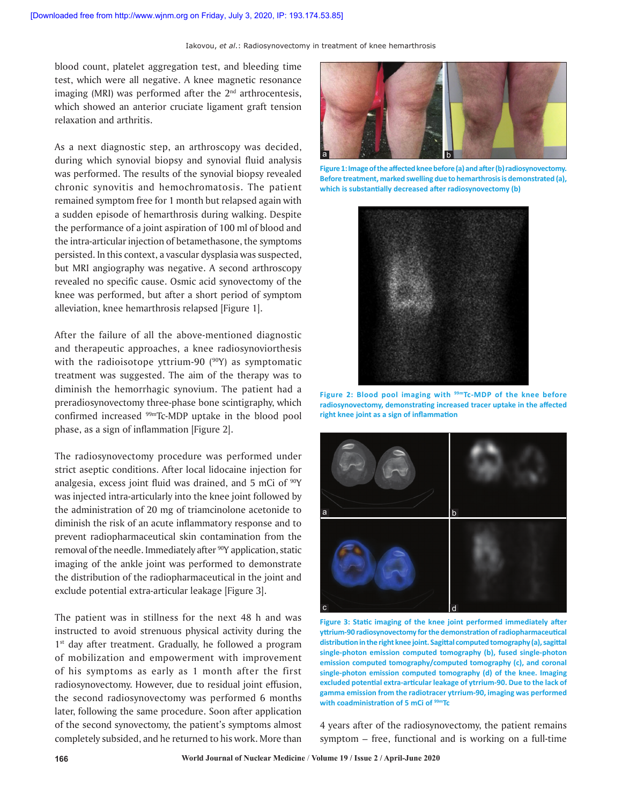Iakovou, *et al*.: Radiosynovectomy in treatment of knee hemarthrosis

blood count, platelet aggregation test, and bleeding time test, which were all negative. A knee magnetic resonance imaging (MRI) was performed after the  $2<sup>nd</sup>$  arthrocentesis, which showed an anterior cruciate ligament graft tension relaxation and arthritis.

As a next diagnostic step, an arthroscopy was decided, during which synovial biopsy and synovial fluid analysis was performed. The results of the synovial biopsy revealed chronic synovitis and hemochromatosis. The patient remained symptom free for 1 month but relapsed again with a sudden episode of hemarthrosis during walking. Despite the performance of a joint aspiration of 100 ml of blood and the intra‑articular injection of betamethasone, the symptoms persisted. In this context, a vascular dysplasia was suspected, but MRI angiography was negative. A second arthroscopy revealed no specific cause. Osmic acid synovectomy of the knee was performed, but after a short period of symptom alleviation, knee hemarthrosis relapsed [Figure 1].

After the failure of all the above-mentioned diagnostic and therapeutic approaches, a knee radiosynoviorthesis with the radioisotope yttrium-90 (<sup>90</sup>Y) as symptomatic treatment was suggested. The aim of the therapy was to diminish the hemorrhagic synovium. The patient had a preradiosynovectomy three‑phase bone scintigraphy, which confirmed increased 99mTc‑MDP uptake in the blood pool phase, as a sign of inflammation [Figure 2].

The radiosynovectomy procedure was performed under strict aseptic conditions. After local lidocaine injection for analgesia, excess joint fluid was drained, and 5 mCi of <sup>90</sup>Y was injected intra‑articularly into the knee joint followed by the administration of 20 mg of triamcinolone acetonide to diminish the risk of an acute inflammatory response and to prevent radiopharmaceutical skin contamination from the removal of the needle. Immediately after <sup>90</sup>Y application, static imaging of the ankle joint was performed to demonstrate the distribution of the radiopharmaceutical in the joint and exclude potential extra-articular leakage [Figure 3].

The patient was in stillness for the next 48 h and was instructed to avoid strenuous physical activity during the 1<sup>st</sup> day after treatment. Gradually, he followed a program of mobilization and empowerment with improvement of his symptoms as early as 1 month after the first radiosynovectomy. However, due to residual joint effusion, the second radiosynovectomy was performed 6 months later, following the same procedure. Soon after application of the second synovectomy, the patient's symptoms almost completely subsided, and he returned to his work. More than



Figure 1: Image of the affected knee before (a) and after (b) radiosynovectomy. **Before treatment, marked swelling due to hemarthrosisis demonstrated (a), which is substantially decreased after radiosynovectomy (b)**



**Figure 2: Blood pool imaging with 99mTc‑MDP of the knee before radiosynovectomy, demonstrating increased tracer uptake in the affected right knee joint as a sign of inflammation**



**Figure 3: Static imaging of the knee joint performed immediately after yttrium‑90 radiosynovectomy forthe demonstration ofradiopharmaceutical distributioninthe right knee joint. Sagittal computedtomography (a),sagittal single‑photon emission computed tomography (b), fused single‑photon emission computed tomography/computed tomography (c), and coronal single‑photon emission computed tomography (d) of the knee. Imaging excluded potential extra‑articular leakage of ytrrium‑90. Due to the lack of gamma emission from the radiotracer ytrrium‑90, imaging was performed with coadministration of 5 mCi of 99mTc**

4 years after of the radiosynovectomy, the patient remains symptom  $-$  free, functional and is working on a full-time